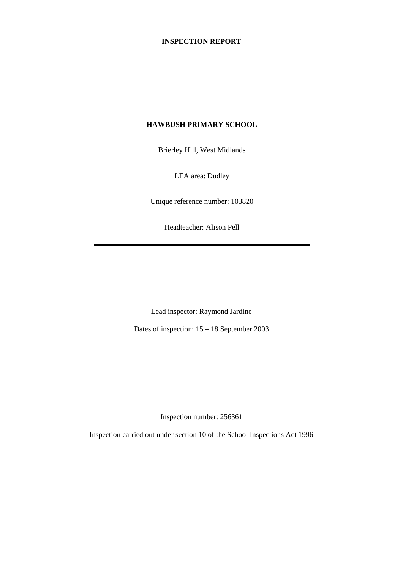# **INSPECTION REPORT**

# **HAWBUSH PRIMARY SCHOOL**

Brierley Hill, West Midlands

LEA area: Dudley

Unique reference number: 103820

Headteacher: Alison Pell

Lead inspector: Raymond Jardine

Dates of inspection: 15 – 18 September 2003

Inspection number: 256361

Inspection carried out under section 10 of the School Inspections Act 1996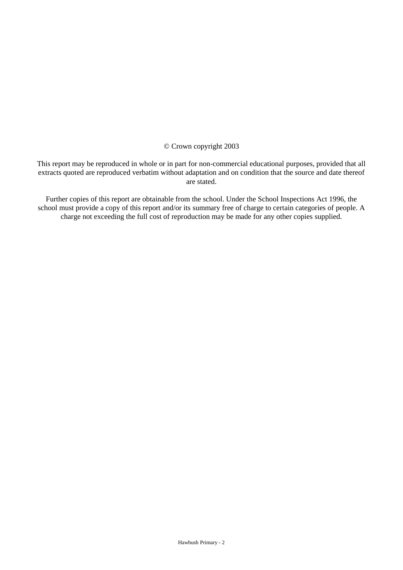## © Crown copyright 2003

This report may be reproduced in whole or in part for non-commercial educational purposes, provided that all extracts quoted are reproduced verbatim without adaptation and on condition that the source and date thereof are stated.

Further copies of this report are obtainable from the school. Under the School Inspections Act 1996, the school must provide a copy of this report and/or its summary free of charge to certain categories of people. A charge not exceeding the full cost of reproduction may be made for any other copies supplied.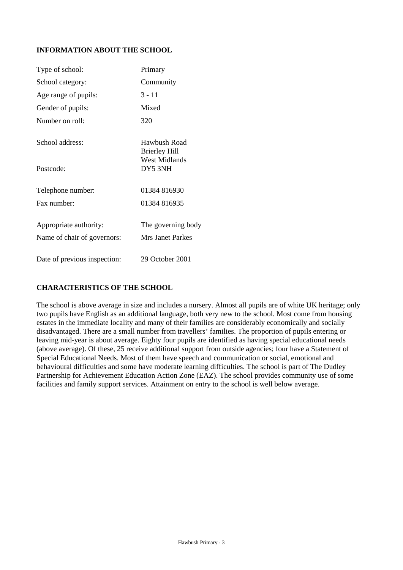# **INFORMATION ABOUT THE SCHOOL**

| Type of school:                                       | Primary                                                      |
|-------------------------------------------------------|--------------------------------------------------------------|
| School category:                                      | Community                                                    |
| Age range of pupils:                                  | $3 - 11$                                                     |
| Gender of pupils:                                     | Mixed                                                        |
| Number on roll:                                       | 320                                                          |
| School address:                                       | Hawbush Road<br><b>Brierley Hill</b><br><b>West Midlands</b> |
| Postcode:                                             | DY5 3NH                                                      |
| Telephone number:                                     | 01384 816930                                                 |
| Fax number:                                           | 01384 816935                                                 |
| Appropriate authority:<br>Name of chair of governors: | The governing body<br><b>Mrs Janet Parkes</b>                |
| Date of previous inspection:                          | 29 October 2001                                              |

# **CHARACTERISTICS OF THE SCHOOL**

The school is above average in size and includes a nursery. Almost all pupils are of white UK heritage; only two pupils have English as an additional language, both very new to the school. Most come from housing estates in the immediate locality and many of their families are considerably economically and socially disadvantaged. There are a small number from travellers' families. The proportion of pupils entering or leaving mid-year is about average. Eighty four pupils are identified as having special educational needs (above average). Of these, 25 receive additional support from outside agencies; four have a Statement of Special Educational Needs. Most of them have speech and communication or social, emotional and behavioural difficulties and some have moderate learning difficulties. The school is part of The Dudley Partnership for Achievement Education Action Zone (EAZ). The school provides community use of some facilities and family support services. Attainment on entry to the school is well below average.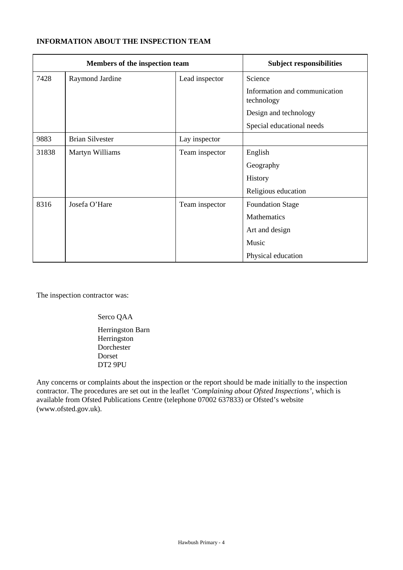# **INFORMATION ABOUT THE INSPECTION TEAM**

| Members of the inspection team |                        | <b>Subject responsibilities</b> |                                             |
|--------------------------------|------------------------|---------------------------------|---------------------------------------------|
| 7428                           | Raymond Jardine        | Lead inspector                  | Science                                     |
|                                |                        |                                 | Information and communication<br>technology |
|                                |                        |                                 | Design and technology                       |
|                                |                        |                                 | Special educational needs                   |
| 9883                           | <b>Brian Silvester</b> | Lay inspector                   |                                             |
| 31838                          | Martyn Williams        | Team inspector                  | English                                     |
|                                |                        |                                 | Geography                                   |
|                                |                        |                                 | History                                     |
|                                |                        |                                 | Religious education                         |
| 8316                           | Josefa O'Hare          | Team inspector                  | <b>Foundation Stage</b>                     |
|                                |                        |                                 | Mathematics                                 |
|                                |                        |                                 | Art and design                              |
|                                |                        |                                 | Music                                       |
|                                |                        |                                 | Physical education                          |

The inspection contractor was:

Serco QAA

Herringston Barn Herringston Dorchester Dorset DT2 9PU

Any concerns or complaints about the inspection or the report should be made initially to the inspection contractor. The procedures are set out in the leaflet *'Complaining about Ofsted Inspections'*, which is available from Ofsted Publications Centre (telephone 07002 637833) or Ofsted's website (www.ofsted.gov.uk).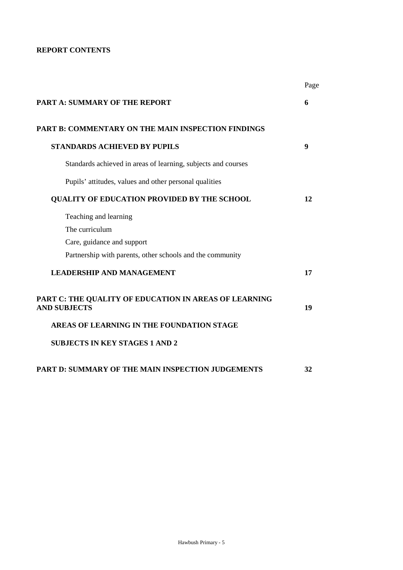# **REPORT CONTENTS**

|                                                                              | Page |
|------------------------------------------------------------------------------|------|
| PART A: SUMMARY OF THE REPORT                                                | 6    |
| <b>PART B: COMMENTARY ON THE MAIN INSPECTION FINDINGS</b>                    |      |
| <b>STANDARDS ACHIEVED BY PUPILS</b>                                          | 9    |
| Standards achieved in areas of learning, subjects and courses                |      |
| Pupils' attitudes, values and other personal qualities                       |      |
| <b>QUALITY OF EDUCATION PROVIDED BY THE SCHOOL</b>                           | 12   |
| Teaching and learning                                                        |      |
| The curriculum                                                               |      |
| Care, guidance and support                                                   |      |
| Partnership with parents, other schools and the community                    |      |
| <b>LEADERSHIP AND MANAGEMENT</b>                                             | 17   |
| PART C: THE QUALITY OF EDUCATION IN AREAS OF LEARNING<br><b>AND SUBJECTS</b> | 19   |
| AREAS OF LEARNING IN THE FOUNDATION STAGE                                    |      |
| <b>SUBJECTS IN KEY STAGES 1 AND 2</b>                                        |      |
| <b>PART D: SUMMARY OF THE MAIN INSPECTION JUDGEMENTS</b>                     | 32   |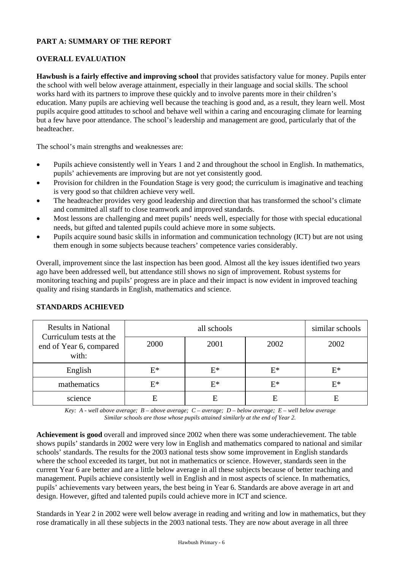# **PART A: SUMMARY OF THE REPORT**

# **OVERALL EVALUATION**

**Hawbush is a fairly effective and improving school** that provides satisfactory value for money. Pupils enter the school with well below average attainment, especially in their language and social skills. The school works hard with its partners to improve these quickly and to involve parents more in their children's education. Many pupils are achieving well because the teaching is good and, as a result, they learn well. Most pupils acquire good attitudes to school and behave well within a caring and encouraging climate for learning but a few have poor attendance. The school's leadership and management are good, particularly that of the headteacher.

The school's main strengths and weaknesses are:

- Pupils achieve consistently well in Years 1 and 2 and throughout the school in English. In mathematics, pupils' achievements are improving but are not yet consistently good.
- Provision for children in the Foundation Stage is very good; the curriculum is imaginative and teaching is very good so that children achieve very well.
- The headteacher provides very good leadership and direction that has transformed the school's climate and committed all staff to close teamwork and improved standards.
- Most lessons are challenging and meet pupils' needs well, especially for those with special educational needs, but gifted and talented pupils could achieve more in some subjects.
- Pupils acquire sound basic skills in information and communication technology (ICT) but are not using them enough in some subjects because teachers' competence varies considerably.

Overall, improvement since the last inspection has been good. Almost all the key issues identified two years ago have been addressed well, but attendance still shows no sign of improvement. Robust systems for monitoring teaching and pupils' progress are in place and their impact is now evident in improved teaching quality and rising standards in English, mathematics and science.

| <b>Results in National</b><br>Curriculum tests at the |       | similar schools |      |      |
|-------------------------------------------------------|-------|-----------------|------|------|
| 2000<br>end of Year 6, compared<br>with:              |       | 2001            | 2002 | 2002 |
| English                                               | $E^*$ | E*              | E*   | F*   |
| mathematics                                           | $E^*$ | E*              | E*   | E*   |
| science                                               | E     | E               | E    | E    |

### **STANDARDS ACHIEVED**

*Key: A - well above average; B – above average; C – average; D – below average; E – well below average Similar schools are those whose pupils attained similarly at the end of Year 2.*

**Achievement is good** overall and improved since 2002 when there was some underachievement. The table shows pupils' standards in 2002 were very low in English and mathematics compared to national and similar schools' standards. The results for the 2003 national tests show some improvement in English standards where the school exceeded its target, but not in mathematics or science. However, standards seen in the current Year 6 are better and are a little below average in all these subjects because of better teaching and management. Pupils achieve consistently well in English and in most aspects of science. In mathematics, pupils' achievements vary between years, the best being in Year 6. Standards are above average in art and design. However, gifted and talented pupils could achieve more in ICT and science.

Standards in Year 2 in 2002 were well below average in reading and writing and low in mathematics, but they rose dramatically in all these subjects in the 2003 national tests. They are now about average in all three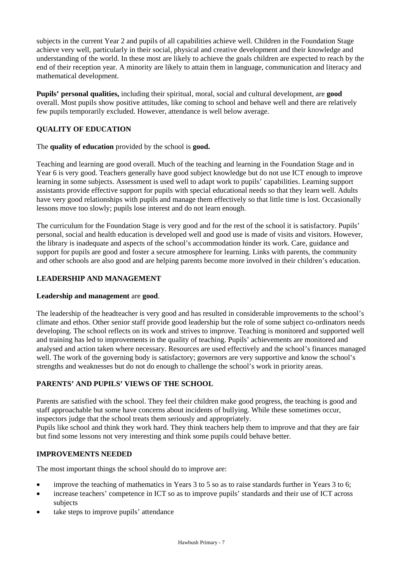subjects in the current Year 2 and pupils of all capabilities achieve well. Children in the Foundation Stage achieve very well, particularly in their social, physical and creative development and their knowledge and understanding of the world. In these most are likely to achieve the goals children are expected to reach by the end of their reception year. A minority are likely to attain them in language, communication and literacy and mathematical development.

**Pupils' personal qualities,** including their spiritual, moral, social and cultural development, are **good** overall. Most pupils show positive attitudes, like coming to school and behave well and there are relatively few pupils temporarily excluded. However, attendance is well below average.

# **QUALITY OF EDUCATION**

The **quality of education** provided by the school is **good.**

Teaching and learning are good overall. Much of the teaching and learning in the Foundation Stage and in Year 6 is very good. Teachers generally have good subject knowledge but do not use ICT enough to improve learning in some subjects. Assessment is used well to adapt work to pupils' capabilities. Learning support assistants provide effective support for pupils with special educational needs so that they learn well. Adults have very good relationships with pupils and manage them effectively so that little time is lost. Occasionally lessons move too slowly; pupils lose interest and do not learn enough.

The curriculum for the Foundation Stage is very good and for the rest of the school it is satisfactory. Pupils' personal, social and health education is developed well and good use is made of visits and visitors. However, the library is inadequate and aspects of the school's accommodation hinder its work. Care, guidance and support for pupils are good and foster a secure atmosphere for learning. Links with parents, the community and other schools are also good and are helping parents become more involved in their children's education.

# **LEADERSHIP AND MANAGEMENT**

#### **Leadership and management** are **good**.

The leadership of the headteacher is very good and has resulted in considerable improvements to the school's climate and ethos. Other senior staff provide good leadership but the role of some subject co-ordinators needs developing. The school reflects on its work and strives to improve. Teaching is monitored and supported well and training has led to improvements in the quality of teaching. Pupils' achievements are monitored and analysed and action taken where necessary. Resources are used effectively and the school's finances managed well. The work of the governing body is satisfactory; governors are very supportive and know the school's strengths and weaknesses but do not do enough to challenge the school's work in priority areas.

# **PARENTS' AND PUPILS' VIEWS OF THE SCHOOL**

Parents are satisfied with the school. They feel their children make good progress, the teaching is good and staff approachable but some have concerns about incidents of bullying. While these sometimes occur, inspectors judge that the school treats them seriously and appropriately.

Pupils like school and think they work hard. They think teachers help them to improve and that they are fair but find some lessons not very interesting and think some pupils could behave better.

#### **IMPROVEMENTS NEEDED**

The most important things the school should do to improve are:

- improve the teaching of mathematics in Years 3 to 5 so as to raise standards further in Years 3 to 6;
- increase teachers' competence in ICT so as to improve pupils' standards and their use of ICT across subjects
- take steps to improve pupils' attendance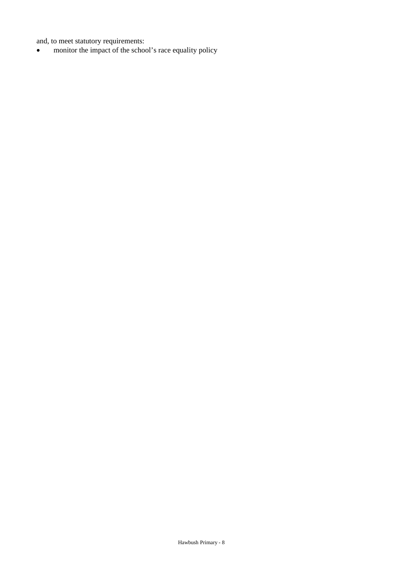and, to meet statutory requirements:

• monitor the impact of the school's race equality policy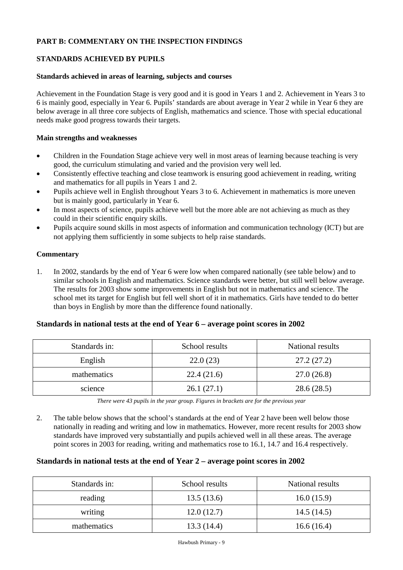# **PART B: COMMENTARY ON THE INSPECTION FINDINGS**

## **STANDARDS ACHIEVED BY PUPILS**

#### **Standards achieved in areas of learning, subjects and courses**

Achievement in the Foundation Stage is very good and it is good in Years 1 and 2. Achievement in Years 3 to 6 is mainly good, especially in Year 6. Pupils' standards are about average in Year 2 while in Year 6 they are below average in all three core subjects of English, mathematics and science. Those with special educational needs make good progress towards their targets.

#### **Main strengths and weaknesses**

- Children in the Foundation Stage achieve very well in most areas of learning because teaching is very good, the curriculum stimulating and varied and the provision very well led.
- Consistently effective teaching and close teamwork is ensuring good achievement in reading, writing and mathematics for all pupils in Years 1 and 2.
- Pupils achieve well in English throughout Years 3 to 6. Achievement in mathematics is more uneven but is mainly good, particularly in Year 6.
- In most aspects of science, pupils achieve well but the more able are not achieving as much as they could in their scientific enquiry skills.
- Pupils acquire sound skills in most aspects of information and communication technology (ICT) but are not applying them sufficiently in some subjects to help raise standards.

#### **Commentary**

1. In 2002, standards by the end of Year 6 were low when compared nationally (see table below) and to similar schools in English and mathematics. Science standards were better, but still well below average. The results for 2003 show some improvements in English but not in mathematics and science. The school met its target for English but fell well short of it in mathematics. Girls have tended to do better than boys in English by more than the difference found nationally.

## **Standards in national tests at the end of Year 6 – average point scores in 2002**

| Standards in: | School results | National results |  |  |
|---------------|----------------|------------------|--|--|
| English       | 22.0(23)       | 27.2(27.2)       |  |  |
| mathematics   | 22.4(21.6)     | 27.0(26.8)       |  |  |
| science       | 26.1(27.1)     | 28.6(28.5)       |  |  |

*There were 43 pupils in the year group. Figures in brackets are for the previous year*

2. The table below shows that the school's standards at the end of Year 2 have been well below those nationally in reading and writing and low in mathematics. However, more recent results for 2003 show standards have improved very substantially and pupils achieved well in all these areas. The average point scores in 2003 for reading, writing and mathematics rose to 16.1, 14.7 and 16.4 respectively.

#### **Standards in national tests at the end of Year 2 – average point scores in 2002**

| Standards in: | School results | National results |
|---------------|----------------|------------------|
| reading       | 13.5(13.6)     | 16.0(15.9)       |
| writing       | 12.0(12.7)     | 14.5(14.5)       |
| mathematics   | 13.3(14.4)     | 16.6(16.4)       |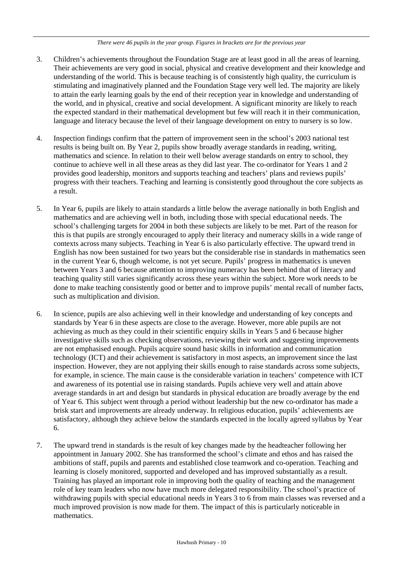#### *There were 46 pupils in the year group. Figures in brackets are for the previous year*

- 3. Children's achievements throughout the Foundation Stage are at least good in all the areas of learning. Their achievements are very good in social, physical and creative development and their knowledge and understanding of the world. This is because teaching is of consistently high quality, the curriculum is stimulating and imaginatively planned and the Foundation Stage very well led. The majority are likely to attain the early learning goals by the end of their reception year in knowledge and understanding of the world, and in physical, creative and social development. A significant minority are likely to reach the expected standard in their mathematical development but few will reach it in their communication, language and literacy because the level of their language development on entry to nursery is so low.
- 4. Inspection findings confirm that the pattern of improvement seen in the school's 2003 national test results is being built on. By Year 2, pupils show broadly average standards in reading, writing, mathematics and science. In relation to their well below average standards on entry to school, they continue to achieve well in all these areas as they did last year. The co-ordinator for Years 1 and 2 provides good leadership, monitors and supports teaching and teachers' plans and reviews pupils' progress with their teachers. Teaching and learning is consistently good throughout the core subjects as a result.
- 5. In Year 6, pupils are likely to attain standards a little below the average nationally in both English and mathematics and are achieving well in both, including those with special educational needs. The school's challenging targets for 2004 in both these subjects are likely to be met. Part of the reason for this is that pupils are strongly encouraged to apply their literacy and numeracy skills in a wide range of contexts across many subjects. Teaching in Year 6 is also particularly effective. The upward trend in English has now been sustained for two years but the considerable rise in standards in mathematics seen in the current Year 6, though welcome, is not yet secure. Pupils' progress in mathematics is uneven between Years 3 and 6 because attention to improving numeracy has been behind that of literacy and teaching quality still varies significantly across these years within the subject. More work needs to be done to make teaching consistently good or better and to improve pupils' mental recall of number facts, such as multiplication and division.
- 6. In science, pupils are also achieving well in their knowledge and understanding of key concepts and standards by Year 6 in these aspects are close to the average. However, more able pupils are not achieving as much as they could in their scientific enquiry skills in Years 5 and 6 because higher investigative skills such as checking observations, reviewing their work and suggesting improvements are not emphasised enough. Pupils acquire sound basic skills in information and communication technology (ICT) and their achievement is satisfactory in most aspects, an improvement since the last inspection. However, they are not applying their skills enough to raise standards across some subjects, for example, in science. The main cause is the considerable variation in teachers' competence with ICT and awareness of its potential use in raising standards. Pupils achieve very well and attain above average standards in art and design but standards in physical education are broadly average by the end of Year 6. This subject went through a period without leadership but the new co-ordinator has made a brisk start and improvements are already underway. In religious education, pupils' achievements are satisfactory, although they achieve below the standards expected in the locally agreed syllabus by Year 6.
- 7. The upward trend in standards is the result of key changes made by the headteacher following her appointment in January 2002. She has transformed the school's climate and ethos and has raised the ambitions of staff, pupils and parents and established close teamwork and co-operation. Teaching and learning is closely monitored, supported and developed and has improved substantially as a result. Training has played an important role in improving both the quality of teaching and the management role of key team leaders who now have much more delegated responsibility. The school's practice of withdrawing pupils with special educational needs in Years 3 to 6 from main classes was reversed and a much improved provision is now made for them. The impact of this is particularly noticeable in mathematics.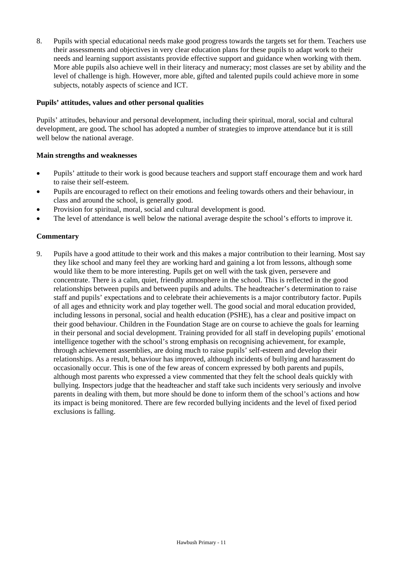8. Pupils with special educational needs make good progress towards the targets set for them. Teachers use their assessments and objectives in very clear education plans for these pupils to adapt work to their needs and learning support assistants provide effective support and guidance when working with them. More able pupils also achieve well in their literacy and numeracy; most classes are set by ability and the level of challenge is high. However, more able, gifted and talented pupils could achieve more in some subjects, notably aspects of science and ICT.

## **Pupils' attitudes, values and other personal qualities**

Pupils' attitudes, behaviour and personal development, including their spiritual, moral, social and cultural development, are good**.** The school has adopted a number of strategies to improve attendance but it is still well below the national average.

#### **Main strengths and weaknesses**

- Pupils' attitude to their work is good because teachers and support staff encourage them and work hard to raise their self-esteem.
- Pupils are encouraged to reflect on their emotions and feeling towards others and their behaviour, in class and around the school, is generally good.
- Provision for spiritual, moral, social and cultural development is good.
- The level of attendance is well below the national average despite the school's efforts to improve it.

#### **Commentary**

9. Pupils have a good attitude to their work and this makes a major contribution to their learning. Most say they like school and many feel they are working hard and gaining a lot from lessons, although some would like them to be more interesting. Pupils get on well with the task given, persevere and concentrate. There is a calm, quiet, friendly atmosphere in the school. This is reflected in the good relationships between pupils and between pupils and adults. The headteacher's determination to raise staff and pupils' expectations and to celebrate their achievements is a major contributory factor. Pupils of all ages and ethnicity work and play together well. The good social and moral education provided, including lessons in personal, social and health education (PSHE), has a clear and positive impact on their good behaviour. Children in the Foundation Stage are on course to achieve the goals for learning in their personal and social development. Training provided for all staff in developing pupils' emotional intelligence together with the school's strong emphasis on recognising achievement, for example, through achievement assemblies, are doing much to raise pupils' self-esteem and develop their relationships. As a result, behaviour has improved, although incidents of bullying and harassment do occasionally occur. This is one of the few areas of concern expressed by both parents and pupils, although most parents who expressed a view commented that they felt the school deals quickly with bullying. Inspectors judge that the headteacher and staff take such incidents very seriously and involve parents in dealing with them, but more should be done to inform them of the school's actions and how its impact is being monitored. There are few recorded bullying incidents and the level of fixed period exclusions is falling.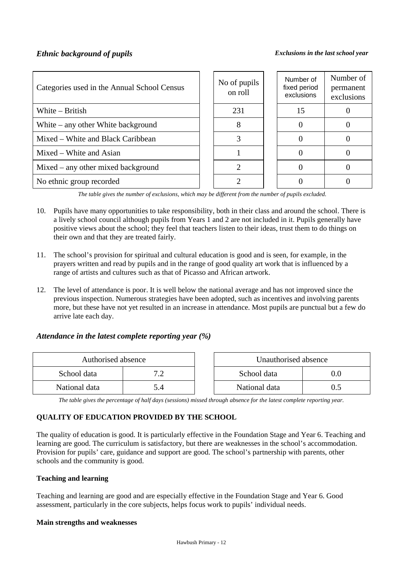| Categories used in the Annual School Census | No of pupils<br>on roll | Number of<br>fixed period<br>exclusions | Number of<br>permanent<br>exclusions |
|---------------------------------------------|-------------------------|-----------------------------------------|--------------------------------------|
| White – British                             | 231                     | 15                                      |                                      |
| White $-$ any other White background        | 8                       |                                         |                                      |
| Mixed – White and Black Caribbean           |                         |                                         |                                      |
| Mixed – White and Asian                     |                         |                                         |                                      |
| Mixed – any other mixed background          |                         |                                         |                                      |
| No ethnic group recorded                    |                         |                                         |                                      |

*The table gives the number of exclusions, which may be different from the number of pupils excluded.*

- 10. Pupils have many opportunities to take responsibility, both in their class and around the school. There is a lively school council although pupils from Years 1 and 2 are not included in it. Pupils generally have positive views about the school; they feel that teachers listen to their ideas, trust them to do things on their own and that they are treated fairly.
- 11. The school's provision for spiritual and cultural education is good and is seen, for example, in the prayers written and read by pupils and in the range of good quality art work that is influenced by a range of artists and cultures such as that of Picasso and African artwork.
- 12. The level of attendance is poor. It is well below the national average and has not improved since the previous inspection. Numerous strategies have been adopted, such as incentives and involving parents more, but these have not yet resulted in an increase in attendance. Most pupils are punctual but a few do arrive late each day.

# *Attendance in the latest complete reporting year (%)*

| Authorised absence |  | Unauthorised absence |    |
|--------------------|--|----------------------|----|
| School data        |  | School data          | 10 |
| National data      |  | National data        |    |

*The table gives the percentage of half days (sessions) missed through absence for the latest complete reporting year.*

# **QUALITY OF EDUCATION PROVIDED BY THE SCHOOL**

The quality of education is good. It is particularly effective in the Foundation Stage and Year 6. Teaching and learning are good. The curriculum is satisfactory, but there are weaknesses in the school's accommodation. Provision for pupils' care, guidance and support are good. The school's partnership with parents, other schools and the community is good.

#### **Teaching and learning**

Teaching and learning are good and are especially effective in the Foundation Stage and Year 6. Good assessment, particularly in the core subjects, helps focus work to pupils' individual needs.

#### **Main strengths and weaknesses**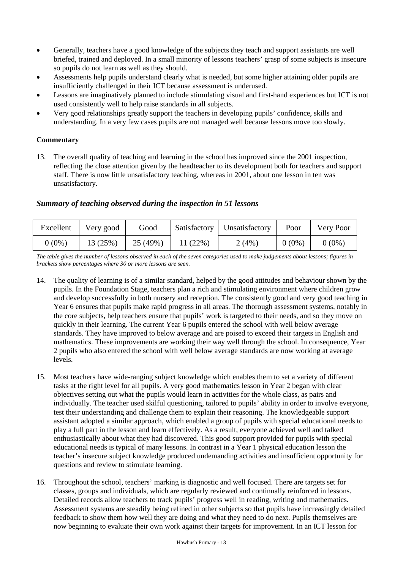- Generally, teachers have a good knowledge of the subjects they teach and support assistants are well briefed, trained and deployed. In a small minority of lessons teachers' grasp of some subjects is insecure so pupils do not learn as well as they should.
- Assessments help pupils understand clearly what is needed, but some higher attaining older pupils are insufficiently challenged in their ICT because assessment is underused.
- Lessons are imaginatively planned to include stimulating visual and first-hand experiences but ICT is not used consistently well to help raise standards in all subjects.
- Very good relationships greatly support the teachers in developing pupils' confidence, skills and understanding. In a very few cases pupils are not managed well because lessons move too slowly.

# **Commentary**

13. The overall quality of teaching and learning in the school has improved since the 2001 inspection, reflecting the close attention given by the headteacher to its development both for teachers and support staff. There is now little unsatisfactory teaching, whereas in 2001, about one lesson in ten was unsatisfactory.

# *Summary of teaching observed during the inspection in 51 lessons*

| Excellent | Very good | Good     | Satisfactory | Unsatisfactory | Poor     | Very Poor |
|-----------|-----------|----------|--------------|----------------|----------|-----------|
| $0(0\%)$  | 13 (25%)  | 25 (49%) | 11(22%)      | 2(4%)          | $0(0\%)$ | $0(0\%)$  |

*The table gives the number of lessons observed in each of the seven categories used to make judgements about lessons; figures in brackets show percentages where 30 or more lessons are seen.*

- 14. The quality of learning is of a similar standard, helped by the good attitudes and behaviour shown by the pupils. In the Foundation Stage, teachers plan a rich and stimulating environment where children grow and develop successfully in both nursery and reception. The consistently good and very good teaching in Year 6 ensures that pupils make rapid progress in all areas. The thorough assessment systems, notably in the core subjects, help teachers ensure that pupils' work is targeted to their needs, and so they move on quickly in their learning. The current Year 6 pupils entered the school with well below average standards. They have improved to below average and are poised to exceed their targets in English and mathematics. These improvements are working their way well through the school. In consequence, Year 2 pupils who also entered the school with well below average standards are now working at average levels.
- 15. Most teachers have wide-ranging subject knowledge which enables them to set a variety of different tasks at the right level for all pupils. A very good mathematics lesson in Year 2 began with clear objectives setting out what the pupils would learn in activities for the whole class, as pairs and individually. The teacher used skilful questioning, tailored to pupils' ability in order to involve everyone, test their understanding and challenge them to explain their reasoning. The knowledgeable support assistant adopted a similar approach, which enabled a group of pupils with special educational needs to play a full part in the lesson and learn effectively. As a result, everyone achieved well and talked enthusiastically about what they had discovered. This good support provided for pupils with special educational needs is typical of many lessons. In contrast in a Year 1 physical education lesson the teacher's insecure subject knowledge produced undemanding activities and insufficient opportunity for questions and review to stimulate learning.
- 16. Throughout the school, teachers' marking is diagnostic and well focused. There are targets set for classes, groups and individuals, which are regularly reviewed and continually reinforced in lessons. Detailed records allow teachers to track pupils' progress well in reading, writing and mathematics. Assessment systems are steadily being refined in other subjects so that pupils have increasingly detailed feedback to show them how well they are doing and what they need to do next. Pupils themselves are now beginning to evaluate their own work against their targets for improvement. In an ICT lesson for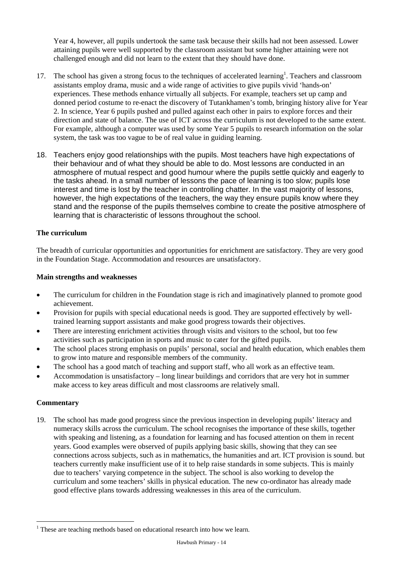Year 4, however, all pupils undertook the same task because their skills had not been assessed. Lower attaining pupils were well supported by the classroom assistant but some higher attaining were not challenged enough and did not learn to the extent that they should have done.

- 17. The school has given a strong focus to the techniques of accelerated learning<sup>1</sup>. Teachers and classroom assistants employ drama, music and a wide range of activities to give pupils vivid 'hands-on' experiences. These methods enhance virtually all subjects. For example, teachers set up camp and donned period costume to re-enact the discovery of Tutankhamen's tomb, bringing history alive for Year 2. In science, Year 6 pupils pushed and pulled against each other in pairs to explore forces and their direction and state of balance. The use of ICT across the curriculum is not developed to the same extent. For example, although a computer was used by some Year 5 pupils to research information on the solar system, the task was too vague to be of real value in guiding learning.
- 18. Teachers enjoy good relationships with the pupils. Most teachers have high expectations of their behaviour and of what they should be able to do. Most lessons are conducted in an atmosphere of mutual respect and good humour where the pupils settle quickly and eagerly to the tasks ahead. In a small number of lessons the pace of learning is too slow; pupils lose interest and time is lost by the teacher in controlling chatter. In the vast majority of lessons, however, the high expectations of the teachers, the way they ensure pupils know where they stand and the response of the pupils themselves combine to create the positive atmosphere of learning that is characteristic of lessons throughout the school.

## **The curriculum**

The breadth of curricular opportunities and opportunities for enrichment are satisfactory. They are very good in the Foundation Stage. Accommodation and resources are unsatisfactory.

#### **Main strengths and weaknesses**

- The curriculum for children in the Foundation stage is rich and imaginatively planned to promote good achievement.
- Provision for pupils with special educational needs is good. They are supported effectively by welltrained learning support assistants and make good progress towards their objectives.
- There are interesting enrichment activities through visits and visitors to the school, but too few activities such as participation in sports and music to cater for the gifted pupils.
- The school places strong emphasis on pupils' personal, social and health education, which enables them to grow into mature and responsible members of the community.
- The school has a good match of teaching and support staff, who all work as an effective team.
- Accommodation is unsatisfactory long linear buildings and corridors that are very hot in summer make access to key areas difficult and most classrooms are relatively small.

#### **Commentary**

1

19. The school has made good progress since the previous inspection in developing pupils' literacy and numeracy skills across the curriculum. The school recognises the importance of these skills, together with speaking and listening, as a foundation for learning and has focused attention on them in recent years. Good examples were observed of pupils applying basic skills, showing that they can see connections across subjects, such as in mathematics, the humanities and art. ICT provision is sound. but teachers currently make insufficient use of it to help raise standards in some subjects. This is mainly due to teachers' varying competence in the subject. The school is also working to develop the curriculum and some teachers' skills in physical education. The new co-ordinator has already made good effective plans towards addressing weaknesses in this area of the curriculum.

<sup>&</sup>lt;sup>1</sup> These are teaching methods based on educational research into how we learn.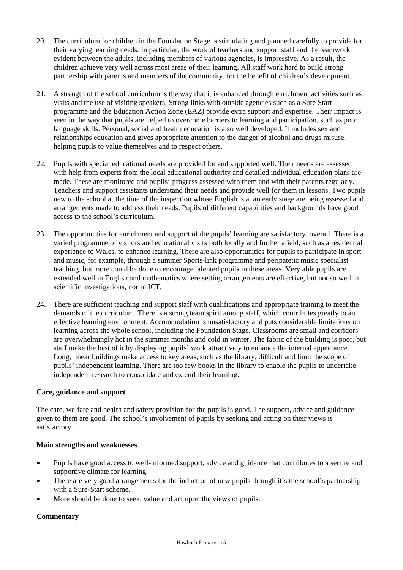- 20. The curriculum for children in the Foundation Stage is stimulating and planned carefully to provide for their varying learning needs. In particular, the work of teachers and support staff and the teamwork evident between the adults, including members of various agencies, is impressive. As a result, the children achieve very well across most areas of their learning. All staff work hard to build strong partnership with parents and members of the community, for the benefit of children's development.
- 21. A strength of the school curriculum is the way that it is enhanced through enrichment activities such as visits and the use of visiting speakers. Strong links with outside agencies such as a Sure Start programme and the Education Action Zone (EAZ) provide extra support and expertise. Their impact is seen in the way that pupils are helped to overcome barriers to learning and participation, such as poor language skills. Personal, social and health education is also well developed. It includes sex and relationships education and gives appropriate attention to the danger of alcohol and drugs misuse, helping pupils to value themselves and to respect others.
- 22. Pupils with special educational needs are provided for and supported well. Their needs are assessed with help from experts from the local educational authority and detailed individual education plans are made. These are monitored and pupils' progress assessed with them and with their parents regularly. Teachers and support assistants understand their needs and provide well for them in lessons. Two pupils new to the school at the time of the inspection whose English is at an early stage are being assessed and arrangements made to address their needs. Pupils of different capabilities and backgrounds have good access to the school's curriculum.
- 23. The opportunities for enrichment and support of the pupils' learning are satisfactory, overall. There is a varied programme of visitors and educational visits both locally and further afield, such as a residential experience to Wales, to enhance learning. There are also opportunities for pupils to participate in sport and music, for example, through a summer Sports-link programme and peripatetic music specialist teaching, but more could be done to encourage talented pupils in these areas. Very able pupils are extended well in English and mathematics where setting arrangements are effective, but not so well in scientific investigations, nor in ICT.
- 24. There are sufficient teaching and support staff with qualifications and appropriate training to meet the demands of the curriculum. There is a strong team spirit among staff, which contributes greatly to an effective learning environment. Accommodation is unsatisfactory and puts considerable limitations on learning across the whole school, including the Foundation Stage. Classrooms are small and corridors are overwhelmingly hot in the summer months and cold in winter. The fabric of the building is poor, but staff make the best of it by displaying pupils' work attractively to enhance the internal appearance. Long, linear buildings make access to key areas, such as the library, difficult and limit the scope of pupils' independent learning. There are too few books in the library to enable the pupils to undertake independent research to consolidate and extend their learning.

#### **Care, guidance and support**

The care, welfare and health and safety provision for the pupils is good. The support, advice and guidance given to them are good. The school's involvement of pupils by seeking and acting on their views is satisfactory.

#### **Main strengths and weaknesses**

- Pupils have good access to well-informed support, advice and guidance that contributes to a secure and supportive climate for learning.
- There are very good arrangements for the induction of new pupils through it's the school's partnership with a Sure-Start scheme.
- More should be done to seek, value and act upon the views of pupils.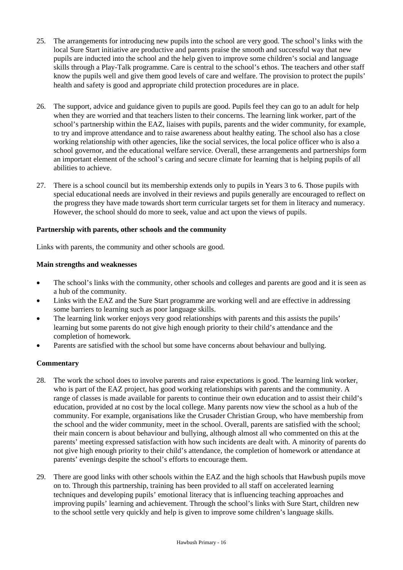- 25. The arrangements for introducing new pupils into the school are very good. The school's links with the local Sure Start initiative are productive and parents praise the smooth and successful way that new pupils are inducted into the school and the help given to improve some children's social and language skills through a Play-Talk programme. Care is central to the school's ethos. The teachers and other staff know the pupils well and give them good levels of care and welfare. The provision to protect the pupils' health and safety is good and appropriate child protection procedures are in place.
- 26. The support, advice and guidance given to pupils are good. Pupils feel they can go to an adult for help when they are worried and that teachers listen to their concerns. The learning link worker, part of the school's partnership within the EAZ, liaises with pupils, parents and the wider community, for example, to try and improve attendance and to raise awareness about healthy eating. The school also has a close working relationship with other agencies, like the social services, the local police officer who is also a school governor, and the educational welfare service. Overall, these arrangements and partnerships form an important element of the school's caring and secure climate for learning that is helping pupils of all abilities to achieve.
- 27. There is a school council but its membership extends only to pupils in Years 3 to 6. Those pupils with special educational needs are involved in their reviews and pupils generally are encouraged to reflect on the progress they have made towards short term curricular targets set for them in literacy and numeracy. However, the school should do more to seek, value and act upon the views of pupils.

## **Partnership with parents, other schools and the community**

Links with parents, the community and other schools are good.

## **Main strengths and weaknesses**

- The school's links with the community, other schools and colleges and parents are good and it is seen as a hub of the community.
- Links with the EAZ and the Sure Start programme are working well and are effective in addressing some barriers to learning such as poor language skills.
- The learning link worker enjoys very good relationships with parents and this assists the pupils' learning but some parents do not give high enough priority to their child's attendance and the completion of homework.
- Parents are satisfied with the school but some have concerns about behaviour and bullying.

- 28. The work the school does to involve parents and raise expectations is good. The learning link worker, who is part of the EAZ project, has good working relationships with parents and the community. A range of classes is made available for parents to continue their own education and to assist their child's education, provided at no cost by the local college. Many parents now view the school as a hub of the community. For example, organisations like the Crusader Christian Group, who have membership from the school and the wider community, meet in the school. Overall, parents are satisfied with the school; their main concern is about behaviour and bullying, although almost all who commented on this at the parents' meeting expressed satisfaction with how such incidents are dealt with. A minority of parents do not give high enough priority to their child's attendance, the completion of homework or attendance at parents' evenings despite the school's efforts to encourage them.
- 29. There are good links with other schools within the EAZ and the high schools that Hawbush pupils move on to. Through this partnership, training has been provided to all staff on accelerated learning techniques and developing pupils' emotional literacy that is influencing teaching approaches and improving pupils' learning and achievement. Through the school's links with Sure Start, children new to the school settle very quickly and help is given to improve some children's language skills.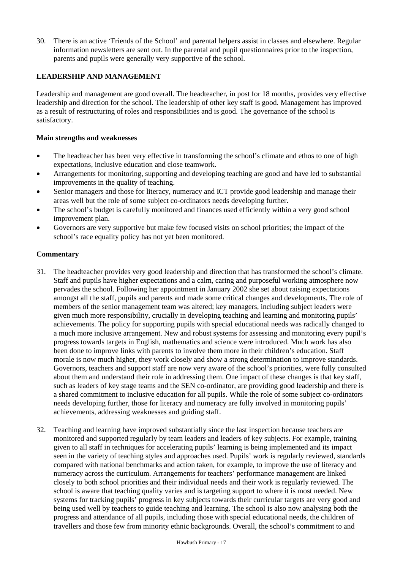30. There is an active 'Friends of the School' and parental helpers assist in classes and elsewhere. Regular information newsletters are sent out. In the parental and pupil questionnaires prior to the inspection, parents and pupils were generally very supportive of the school.

# **LEADERSHIP AND MANAGEMENT**

Leadership and management are good overall. The headteacher, in post for 18 months, provides very effective leadership and direction for the school. The leadership of other key staff is good. Management has improved as a result of restructuring of roles and responsibilities and is good. The governance of the school is satisfactory.

## **Main strengths and weaknesses**

- The headteacher has been very effective in transforming the school's climate and ethos to one of high expectations, inclusive education and close teamwork.
- Arrangements for monitoring, supporting and developing teaching are good and have led to substantial improvements in the quality of teaching.
- Senior managers and those for literacy, numeracy and ICT provide good leadership and manage their areas well but the role of some subject co-ordinators needs developing further.
- The school's budget is carefully monitored and finances used efficiently within a very good school improvement plan.
- Governors are very supportive but make few focused visits on school priorities; the impact of the school's race equality policy has not yet been monitored.

- 31. The headteacher provides very good leadership and direction that has transformed the school's climate. Staff and pupils have higher expectations and a calm, caring and purposeful working atmosphere now pervades the school. Following her appointment in January 2002 she set about raising expectations amongst all the staff, pupils and parents and made some critical changes and developments. The role of members of the senior management team was altered; key managers, including subject leaders were given much more responsibility, crucially in developing teaching and learning and monitoring pupils' achievements. The policy for supporting pupils with special educational needs was radically changed to a much more inclusive arrangement. New and robust systems for assessing and monitoring every pupil's progress towards targets in English, mathematics and science were introduced. Much work has also been done to improve links with parents to involve them more in their children's education. Staff morale is now much higher, they work closely and show a strong determination to improve standards. Governors, teachers and support staff are now very aware of the school's priorities, were fully consulted about them and understand their role in addressing them. One impact of these changes is that key staff, such as leaders of key stage teams and the SEN co-ordinator, are providing good leadership and there is a shared commitment to inclusive education for all pupils. While the role of some subject co-ordinators needs developing further, those for literacy and numeracy are fully involved in monitoring pupils' achievements, addressing weaknesses and guiding staff.
- 32. Teaching and learning have improved substantially since the last inspection because teachers are monitored and supported regularly by team leaders and leaders of key subjects. For example, training given to all staff in techniques for accelerating pupils' learning is being implemented and its impact seen in the variety of teaching styles and approaches used. Pupils' work is regularly reviewed, standards compared with national benchmarks and action taken, for example, to improve the use of literacy and numeracy across the curriculum. Arrangements for teachers' performance management are linked closely to both school priorities and their individual needs and their work is regularly reviewed. The school is aware that teaching quality varies and is targeting support to where it is most needed. New systems for tracking pupils' progress in key subjects towards their curricular targets are very good and being used well by teachers to guide teaching and learning. The school is also now analysing both the progress and attendance of all pupils, including those with special educational needs, the children of travellers and those few from minority ethnic backgrounds. Overall, the school's commitment to and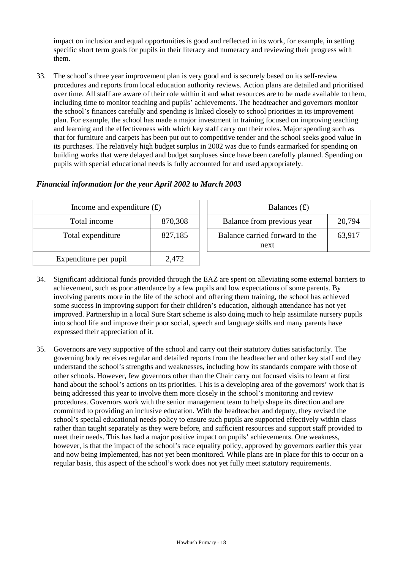impact on inclusion and equal opportunities is good and reflected in its work, for example, in setting specific short term goals for pupils in their literacy and numeracy and reviewing their progress with them.

33. The school's three year improvement plan is very good and is securely based on its self-review procedures and reports from local education authority reviews. Action plans are detailed and prioritised over time. All staff are aware of their role within it and what resources are to be made available to them, including time to monitor teaching and pupils' achievements. The headteacher and governors monitor the school's finances carefully and spending is linked closely to school priorities in its improvement plan. For example, the school has made a major investment in training focused on improving teaching and learning and the effectiveness with which key staff carry out their roles. Major spending such as that for furniture and carpets has been put out to competitive tender and the school seeks good value in its purchases. The relatively high budget surplus in 2002 was due to funds earmarked for spending on building works that were delayed and budget surpluses since have been carefully planned. Spending on pupils with special educational needs is fully accounted for and used appropriately.

| Financial information for the year April 2002 to March 2003 |  |  |  |  |  |  |  |
|-------------------------------------------------------------|--|--|--|--|--|--|--|
|-------------------------------------------------------------|--|--|--|--|--|--|--|

| Income and expenditure $(f)$ |         | Balances $(f)$                         |        |  |
|------------------------------|---------|----------------------------------------|--------|--|
| Total income                 | 870,308 | Balance from previous year             | 20,794 |  |
| Total expenditure            | 827,185 | Balance carried forward to the<br>next | 63,917 |  |
| Expenditure per pupil        | 2,472   |                                        |        |  |

- 34. Significant additional funds provided through the EAZ are spent on alleviating some external barriers to achievement, such as poor attendance by a few pupils and low expectations of some parents. By involving parents more in the life of the school and offering them training, the school has achieved some success in improving support for their children's education, although attendance has not yet improved. Partnership in a local Sure Start scheme is also doing much to help assimilate nursery pupils into school life and improve their poor social, speech and language skills and many parents have expressed their appreciation of it.
- 35. Governors are very supportive of the school and carry out their statutory duties satisfactorily. The governing body receives regular and detailed reports from the headteacher and other key staff and they understand the school's strengths and weaknesses, including how its standards compare with those of other schools. However, few governors other than the Chair carry out focused visits to learn at first hand about the school's actions on its priorities. This is a developing area of the governors' work that is being addressed this year to involve them more closely in the school's monitoring and review procedures. Governors work with the senior management team to help shape its direction and are committed to providing an inclusive education. With the headteacher and deputy, they revised the school's special educational needs policy to ensure such pupils are supported effectively within class rather than taught separately as they were before, and sufficient resources and support staff provided to meet their needs. This has had a major positive impact on pupils' achievements. One weakness, however, is that the impact of the school's race equality policy, approved by governors earlier this year and now being implemented, has not yet been monitored. While plans are in place for this to occur on a regular basis, this aspect of the school's work does not yet fully meet statutory requirements.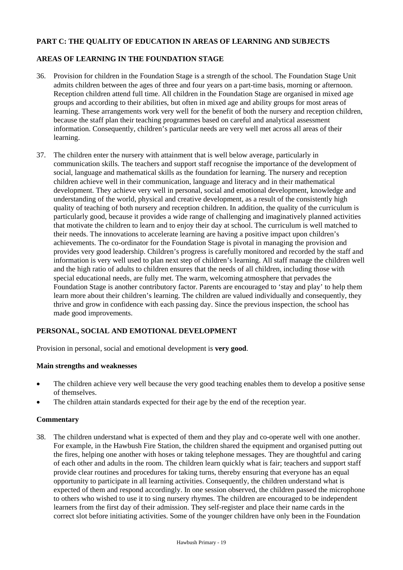## **PART C: THE QUALITY OF EDUCATION IN AREAS OF LEARNING AND SUBJECTS**

## **AREAS OF LEARNING IN THE FOUNDATION STAGE**

- 36. Provision for children in the Foundation Stage is a strength of the school. The Foundation Stage Unit admits children between the ages of three and four years on a part-time basis, morning or afternoon. Reception children attend full time. All children in the Foundation Stage are organised in mixed age groups and according to their abilities, but often in mixed age and ability groups for most areas of learning. These arrangements work very well for the benefit of both the nursery and reception children, because the staff plan their teaching programmes based on careful and analytical assessment information. Consequently, children's particular needs are very well met across all areas of their learning.
- 37. The children enter the nursery with attainment that is well below average, particularly in communication skills. The teachers and support staff recognise the importance of the development of social, language and mathematical skills as the foundation for learning. The nursery and reception children achieve well in their communication, language and literacy and in their mathematical development. They achieve very well in personal, social and emotional development, knowledge and understanding of the world, physical and creative development, as a result of the consistently high quality of teaching of both nursery and reception children. In addition, the quality of the curriculum is particularly good, because it provides a wide range of challenging and imaginatively planned activities that motivate the children to learn and to enjoy their day at school. The curriculum is well matched to their needs. The innovations to accelerate learning are having a positive impact upon children's achievements. The co-ordinator for the Foundation Stage is pivotal in managing the provision and provides very good leadership. Children's progress is carefully monitored and recorded by the staff and information is very well used to plan next step of children's learning. All staff manage the children well and the high ratio of adults to children ensures that the needs of all children, including those with special educational needs, are fully met. The warm, welcoming atmosphere that pervades the Foundation Stage is another contributory factor. Parents are encouraged to 'stay and play' to help them learn more about their children's learning. The children are valued individually and consequently, they thrive and grow in confidence with each passing day. Since the previous inspection, the school has made good improvements.

# **PERSONAL, SOCIAL AND EMOTIONAL DEVELOPMENT**

Provision in personal, social and emotional development is **very good**.

#### **Main strengths and weaknesses**

- The children achieve very well because the very good teaching enables them to develop a positive sense of themselves.
- The children attain standards expected for their age by the end of the reception year.

#### **Commentary**

38. The children understand what is expected of them and they play and co-operate well with one another. For example, in the Hawbush Fire Station, the children shared the equipment and organised putting out the fires, helping one another with hoses or taking telephone messages. They are thoughtful and caring of each other and adults in the room. The children learn quickly what is fair; teachers and support staff provide clear routines and procedures for taking turns, thereby ensuring that everyone has an equal opportunity to participate in all learning activities. Consequently, the children understand what is expected of them and respond accordingly. In one session observed, the children passed the microphone to others who wished to use it to sing nursery rhymes. The children are encouraged to be independent learners from the first day of their admission. They self-register and place their name cards in the correct slot before initiating activities. Some of the younger children have only been in the Foundation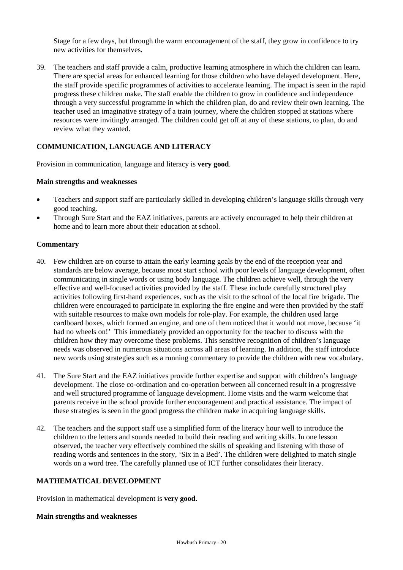Stage for a few days, but through the warm encouragement of the staff, they grow in confidence to try new activities for themselves.

39. The teachers and staff provide a calm, productive learning atmosphere in which the children can learn. There are special areas for enhanced learning for those children who have delayed development. Here, the staff provide specific programmes of activities to accelerate learning. The impact is seen in the rapid progress these children make. The staff enable the children to grow in confidence and independence through a very successful programme in which the children plan, do and review their own learning. The teacher used an imaginative strategy of a train journey, where the children stopped at stations where resources were invitingly arranged. The children could get off at any of these stations, to plan, do and review what they wanted.

# **COMMUNICATION, LANGUAGE AND LITERACY**

Provision in communication, language and literacy is **very good**.

#### **Main strengths and weaknesses**

- Teachers and support staff are particularly skilled in developing children's language skills through very good teaching.
- Through Sure Start and the EAZ initiatives, parents are actively encouraged to help their children at home and to learn more about their education at school.

#### **Commentary**

- 40. Few children are on course to attain the early learning goals by the end of the reception year and standards are below average, because most start school with poor levels of language development, often communicating in single words or using body language. The children achieve well, through the very effective and well-focused activities provided by the staff. These include carefully structured play activities following first-hand experiences, such as the visit to the school of the local fire brigade. The children were encouraged to participate in exploring the fire engine and were then provided by the staff with suitable resources to make own models for role-play. For example, the children used large cardboard boxes, which formed an engine, and one of them noticed that it would not move, because 'it had no wheels on!' This immediately provided an opportunity for the teacher to discuss with the children how they may overcome these problems. This sensitive recognition of children's language needs was observed in numerous situations across all areas of learning. In addition, the staff introduce new words using strategies such as a running commentary to provide the children with new vocabulary.
- 41. The Sure Start and the EAZ initiatives provide further expertise and support with children's language development. The close co-ordination and co-operation between all concerned result in a progressive and well structured programme of language development. Home visits and the warm welcome that parents receive in the school provide further encouragement and practical assistance. The impact of these strategies is seen in the good progress the children make in acquiring language skills.
- 42. The teachers and the support staff use a simplified form of the literacy hour well to introduce the children to the letters and sounds needed to build their reading and writing skills. In one lesson observed, the teacher very effectively combined the skills of speaking and listening with those of reading words and sentences in the story, 'Six in a Bed'. The children were delighted to match single words on a word tree. The carefully planned use of ICT further consolidates their literacy.

#### **MATHEMATICAL DEVELOPMENT**

Provision in mathematical development is **very good.**

#### **Main strengths and weaknesses**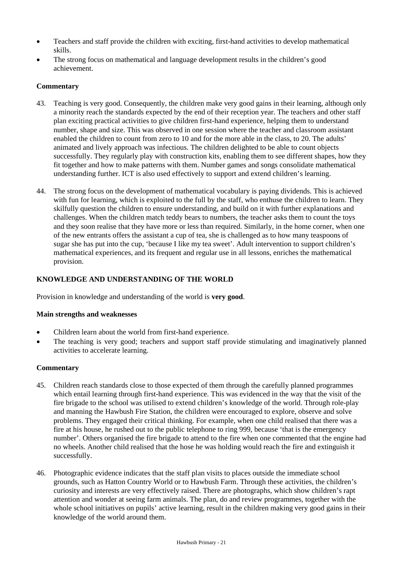- Teachers and staff provide the children with exciting, first-hand activities to develop mathematical skills.
- The strong focus on mathematical and language development results in the children's good achievement.

# **Commentary**

- 43. Teaching is very good. Consequently, the children make very good gains in their learning, although only a minority reach the standards expected by the end of their reception year. The teachers and other staff plan exciting practical activities to give children first-hand experience, helping them to understand number, shape and size. This was observed in one session where the teacher and classroom assistant enabled the children to count from zero to 10 and for the more able in the class, to 20. The adults' animated and lively approach was infectious. The children delighted to be able to count objects successfully. They regularly play with construction kits, enabling them to see different shapes, how they fit together and how to make patterns with them. Number games and songs consolidate mathematical understanding further. ICT is also used effectively to support and extend children's learning.
- 44. The strong focus on the development of mathematical vocabulary is paying dividends. This is achieved with fun for learning, which is exploited to the full by the staff, who enthuse the children to learn. They skilfully question the children to ensure understanding, and build on it with further explanations and challenges. When the children match teddy bears to numbers, the teacher asks them to count the toys and they soon realise that they have more or less than required. Similarly, in the home corner, when one of the new entrants offers the assistant a cup of tea, she is challenged as to how many teaspoons of sugar she has put into the cup, 'because I like my tea sweet'. Adult intervention to support children's mathematical experiences, and its frequent and regular use in all lessons, enriches the mathematical provision.

# **KNOWLEDGE AND UNDERSTANDING OF THE WORLD**

Provision in knowledge and understanding of the world is **very good**.

#### **Main strengths and weaknesses**

- Children learn about the world from first-hand experience.
- The teaching is very good; teachers and support staff provide stimulating and imaginatively planned activities to accelerate learning.

- 45. Children reach standards close to those expected of them through the carefully planned programmes which entail learning through first-hand experience. This was evidenced in the way that the visit of the fire brigade to the school was utilised to extend children's knowledge of the world. Through role-play and manning the Hawbush Fire Station, the children were encouraged to explore, observe and solve problems. They engaged their critical thinking. For example, when one child realised that there was a fire at his house, he rushed out to the public telephone to ring 999, because 'that is the emergency number'. Others organised the fire brigade to attend to the fire when one commented that the engine had no wheels. Another child realised that the hose he was holding would reach the fire and extinguish it successfully.
- 46. Photographic evidence indicates that the staff plan visits to places outside the immediate school grounds, such as Hatton Country World or to Hawbush Farm. Through these activities, the children's curiosity and interests are very effectively raised. There are photographs, which show children's rapt attention and wonder at seeing farm animals. The plan, do and review programmes, together with the whole school initiatives on pupils' active learning, result in the children making very good gains in their knowledge of the world around them.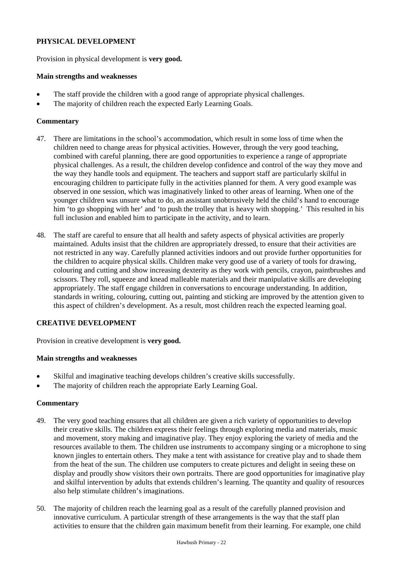# **PHYSICAL DEVELOPMENT**

Provision in physical development is **very good.**

#### **Main strengths and weaknesses**

- The staff provide the children with a good range of appropriate physical challenges.
- The majority of children reach the expected Early Learning Goals.

## **Commentary**

- 47. There are limitations in the school's accommodation, which result in some loss of time when the children need to change areas for physical activities. However, through the very good teaching, combined with careful planning, there are good opportunities to experience a range of appropriate physical challenges. As a result, the children develop confidence and control of the way they move and the way they handle tools and equipment. The teachers and support staff are particularly skilful in encouraging children to participate fully in the activities planned for them. A very good example was observed in one session, which was imaginatively linked to other areas of learning. When one of the younger children was unsure what to do, an assistant unobtrusively held the child's hand to encourage him 'to go shopping with her' and 'to push the trolley that is heavy with shopping.' This resulted in his full inclusion and enabled him to participate in the activity, and to learn.
- 48. The staff are careful to ensure that all health and safety aspects of physical activities are properly maintained. Adults insist that the children are appropriately dressed, to ensure that their activities are not restricted in any way. Carefully planned activities indoors and out provide further opportunities for the children to acquire physical skills. Children make very good use of a variety of tools for drawing, colouring and cutting and show increasing dexterity as they work with pencils, crayon, paintbrushes and scissors. They roll, squeeze and knead malleable materials and their manipulative skills are developing appropriately. The staff engage children in conversations to encourage understanding. In addition, standards in writing, colouring, cutting out, painting and sticking are improved by the attention given to this aspect of children's development. As a result, most children reach the expected learning goal.

#### **CREATIVE DEVELOPMENT**

Provision in creative development is **very good.**

#### **Main strengths and weaknesses**

- Skilful and imaginative teaching develops children's creative skills successfully.
- The majority of children reach the appropriate Early Learning Goal.

- 49. The very good teaching ensures that all children are given a rich variety of opportunities to develop their creative skills. The children express their feelings through exploring media and materials, music and movement, story making and imaginative play. They enjoy exploring the variety of media and the resources available to them. The children use instruments to accompany singing or a microphone to sing known jingles to entertain others. They make a tent with assistance for creative play and to shade them from the heat of the sun. The children use computers to create pictures and delight in seeing these on display and proudly show visitors their own portraits. There are good opportunities for imaginative play and skilful intervention by adults that extends children's learning. The quantity and quality of resources also help stimulate children's imaginations.
- 50. The majority of children reach the learning goal as a result of the carefully planned provision and innovative curriculum. A particular strength of these arrangements is the way that the staff plan activities to ensure that the children gain maximum benefit from their learning. For example, one child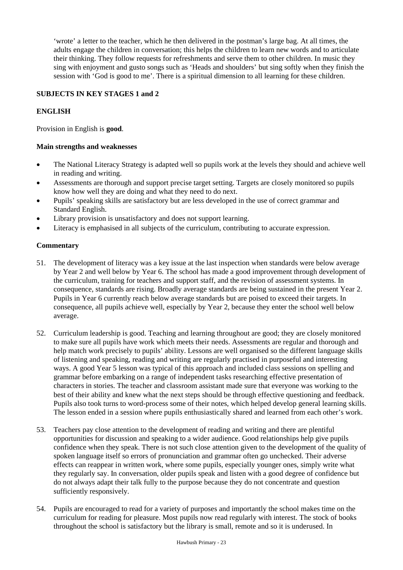'wrote' a letter to the teacher, which he then delivered in the postman's large bag. At all times, the adults engage the children in conversation; this helps the children to learn new words and to articulate their thinking. They follow requests for refreshments and serve them to other children. In music they sing with enjoyment and gusto songs such as 'Heads and shoulders' but sing softly when they finish the session with 'God is good to me'. There is a spiritual dimension to all learning for these children.

# **SUBJECTS IN KEY STAGES 1 and 2**

# **ENGLISH**

Provision in English is **good**.

#### **Main strengths and weaknesses**

- The National Literacy Strategy is adapted well so pupils work at the levels they should and achieve well in reading and writing.
- Assessments are thorough and support precise target setting. Targets are closely monitored so pupils know how well they are doing and what they need to do next.
- Pupils' speaking skills are satisfactory but are less developed in the use of correct grammar and Standard English.
- Library provision is unsatisfactory and does not support learning.
- Literacy is emphasised in all subjects of the curriculum, contributing to accurate expression.

- 51. The development of literacy was a key issue at the last inspection when standards were below average by Year 2 and well below by Year 6. The school has made a good improvement through development of the curriculum, training for teachers and support staff, and the revision of assessment systems. In consequence, standards are rising. Broadly average standards are being sustained in the present Year 2. Pupils in Year 6 currently reach below average standards but are poised to exceed their targets. In consequence, all pupils achieve well, especially by Year 2, because they enter the school well below average.
- 52. Curriculum leadership is good. Teaching and learning throughout are good; they are closely monitored to make sure all pupils have work which meets their needs. Assessments are regular and thorough and help match work precisely to pupils' ability. Lessons are well organised so the different language skills of listening and speaking, reading and writing are regularly practised in purposeful and interesting ways. A good Year 5 lesson was typical of this approach and included class sessions on spelling and grammar before embarking on a range of independent tasks researching effective presentation of characters in stories. The teacher and classroom assistant made sure that everyone was working to the best of their ability and knew what the next steps should be through effective questioning and feedback. Pupils also took turns to word-process some of their notes, which helped develop general learning skills. The lesson ended in a session where pupils enthusiastically shared and learned from each other's work.
- 53. Teachers pay close attention to the development of reading and writing and there are plentiful opportunities for discussion and speaking to a wider audience. Good relationships help give pupils confidence when they speak. There is not such close attention given to the development of the quality of spoken language itself so errors of pronunciation and grammar often go unchecked. Their adverse effects can reappear in written work, where some pupils, especially younger ones, simply write what they regularly say. In conversation, older pupils speak and listen with a good degree of confidence but do not always adapt their talk fully to the purpose because they do not concentrate and question sufficiently responsively.
- 54. Pupils are encouraged to read for a variety of purposes and importantly the school makes time on the curriculum for reading for pleasure. Most pupils now read regularly with interest. The stock of books throughout the school is satisfactory but the library is small, remote and so it is underused. In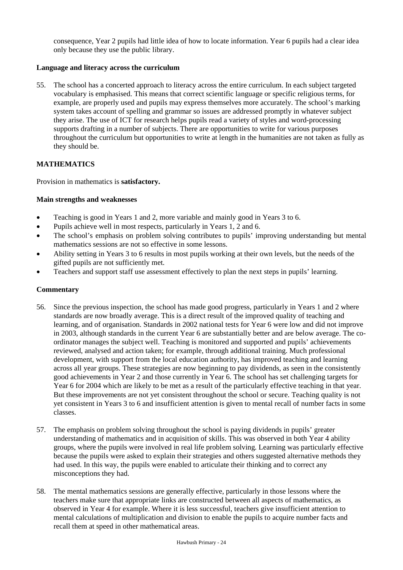consequence, Year 2 pupils had little idea of how to locate information. Year 6 pupils had a clear idea only because they use the public library.

# **Language and literacy across the curriculum**

55. The school has a concerted approach to literacy across the entire curriculum. In each subject targeted vocabulary is emphasised. This means that correct scientific language or specific religious terms, for example, are properly used and pupils may express themselves more accurately. The school's marking system takes account of spelling and grammar so issues are addressed promptly in whatever subject they arise. The use of ICT for research helps pupils read a variety of styles and word-processing supports drafting in a number of subjects. There are opportunities to write for various purposes throughout the curriculum but opportunities to write at length in the humanities are not taken as fully as they should be.

## **MATHEMATICS**

Provision in mathematics is **satisfactory.**

## **Main strengths and weaknesses**

- Teaching is good in Years 1 and 2, more variable and mainly good in Years 3 to 6.
- Pupils achieve well in most respects, particularly in Years 1, 2 and 6.
- The school's emphasis on problem solving contributes to pupils' improving understanding but mental mathematics sessions are not so effective in some lessons.
- Ability setting in Years 3 to 6 results in most pupils working at their own levels, but the needs of the gifted pupils are not sufficiently met.
- Teachers and support staff use assessment effectively to plan the next steps in pupils' learning.

- 56. Since the previous inspection, the school has made good progress, particularly in Years 1 and 2 where standards are now broadly average. This is a direct result of the improved quality of teaching and learning, and of organisation. Standards in 2002 national tests for Year 6 were low and did not improve in 2003, although standards in the current Year 6 are substantially better and are below average. The coordinator manages the subject well. Teaching is monitored and supported and pupils' achievements reviewed, analysed and action taken; for example, through additional training. Much professional development, with support from the local education authority, has improved teaching and learning across all year groups. These strategies are now beginning to pay dividends, as seen in the consistently good achievements in Year 2 and those currently in Year 6. The school has set challenging targets for Year 6 for 2004 which are likely to be met as a result of the particularly effective teaching in that year. But these improvements are not yet consistent throughout the school or secure. Teaching quality is not yet consistent in Years 3 to 6 and insufficient attention is given to mental recall of number facts in some classes.
- 57. The emphasis on problem solving throughout the school is paying dividends in pupils' greater understanding of mathematics and in acquisition of skills. This was observed in both Year 4 ability groups, where the pupils were involved in real life problem solving. Learning was particularly effective because the pupils were asked to explain their strategies and others suggested alternative methods they had used. In this way, the pupils were enabled to articulate their thinking and to correct any misconceptions they had.
- 58. The mental mathematics sessions are generally effective, particularly in those lessons where the teachers make sure that appropriate links are constructed between all aspects of mathematics, as observed in Year 4 for example. Where it is less successful, teachers give insufficient attention to mental calculations of multiplication and division to enable the pupils to acquire number facts and recall them at speed in other mathematical areas.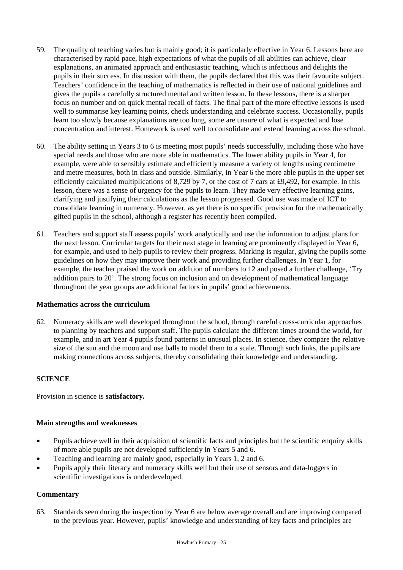- 59. The quality of teaching varies but is mainly good; it is particularly effective in Year 6. Lessons here are characterised by rapid pace, high expectations of what the pupils of all abilities can achieve, clear explanations, an animated approach and enthusiastic teaching, which is infectious and delights the pupils in their success. In discussion with them, the pupils declared that this was their favourite subject. Teachers' confidence in the teaching of mathematics is reflected in their use of national guidelines and gives the pupils a carefully structured mental and written lesson. In these lessons, there is a sharper focus on number and on quick mental recall of facts. The final part of the more effective lessons is used well to summarise key learning points, check understanding and celebrate success. Occasionally, pupils learn too slowly because explanations are too long, some are unsure of what is expected and lose concentration and interest. Homework is used well to consolidate and extend learning across the school.
- 60. The ability setting in Years 3 to 6 is meeting most pupils' needs successfully, including those who have special needs and those who are more able in mathematics. The lower ability pupils in Year 4, for example, were able to sensibly estimate and efficiently measure a variety of lengths using centimetre and metre measures, both in class and outside. Similarly, in Year 6 the more able pupils in the upper set efficiently calculated multiplications of 8,729 by 7, or the cost of 7 cars at £9,492, for example. In this lesson, there was a sense of urgency for the pupils to learn. They made very effective learning gains, clarifying and justifying their calculations as the lesson progressed. Good use was made of ICT to consolidate learning in numeracy. However, as yet there is no specific provision for the mathematically gifted pupils in the school, although a register has recently been compiled.
- 61. Teachers and support staff assess pupils' work analytically and use the information to adjust plans for the next lesson. Curricular targets for their next stage in learning are prominently displayed in Year 6, for example, and used to help pupils to review their progress. Marking is regular, giving the pupils some guidelines on how they may improve their work and providing further challenges. In Year 1, for example, the teacher praised the work on addition of numbers to 12 and posed a further challenge, 'Try addition pairs to 20'. The strong focus on inclusion and on development of mathematical language throughout the year groups are additional factors in pupils' good achievements.

#### **Mathematics across the curriculum**

62. Numeracy skills are well developed throughout the school, through careful cross-curricular approaches to planning by teachers and support staff. The pupils calculate the different times around the world, for example, and in art Year 4 pupils found patterns in unusual places. In science, they compare the relative size of the sun and the moon and use balls to model them to a scale. Through such links, the pupils are making connections across subjects, thereby consolidating their knowledge and understanding.

### **SCIENCE**

Provision in science is **satisfactory.**

#### **Main strengths and weaknesses**

- Pupils achieve well in their acquisition of scientific facts and principles but the scientific enquiry skills of more able pupils are not developed sufficiently in Years 5 and 6.
- Teaching and learning are mainly good, especially in Years 1, 2 and 6.
- Pupils apply their literacy and numeracy skills well but their use of sensors and data-loggers in scientific investigations is underdeveloped.

# **Commentary**

63. Standards seen during the inspection by Year 6 are below average overall and are improving compared to the previous year. However, pupils' knowledge and understanding of key facts and principles are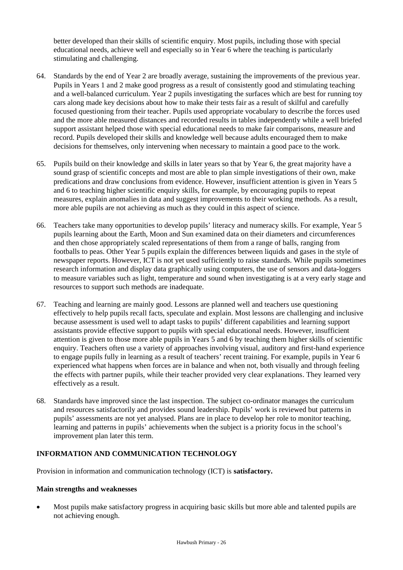better developed than their skills of scientific enquiry. Most pupils, including those with special educational needs, achieve well and especially so in Year 6 where the teaching is particularly stimulating and challenging.

- 64. Standards by the end of Year 2 are broadly average, sustaining the improvements of the previous year. Pupils in Years 1 and 2 make good progress as a result of consistently good and stimulating teaching and a well-balanced curriculum. Year 2 pupils investigating the surfaces which are best for running toy cars along made key decisions about how to make their tests fair as a result of skilful and carefully focused questioning from their teacher. Pupils used appropriate vocabulary to describe the forces used and the more able measured distances and recorded results in tables independently while a well briefed support assistant helped those with special educational needs to make fair comparisons, measure and record. Pupils developed their skills and knowledge well because adults encouraged them to make decisions for themselves, only intervening when necessary to maintain a good pace to the work.
- 65. Pupils build on their knowledge and skills in later years so that by Year 6, the great majority have a sound grasp of scientific concepts and most are able to plan simple investigations of their own, make predications and draw conclusions from evidence. However, insufficient attention is given in Years 5 and 6 to teaching higher scientific enquiry skills, for example, by encouraging pupils to repeat measures, explain anomalies in data and suggest improvements to their working methods. As a result, more able pupils are not achieving as much as they could in this aspect of science.
- 66. Teachers take many opportunities to develop pupils' literacy and numeracy skills. For example, Year 5 pupils learning about the Earth, Moon and Sun examined data on their diameters and circumferences and then chose appropriately scaled representations of them from a range of balls, ranging from footballs to peas. Other Year 5 pupils explain the differences between liquids and gases in the style of newspaper reports. However, ICT is not yet used sufficiently to raise standards. While pupils sometimes research information and display data graphically using computers, the use of sensors and data-loggers to measure variables such as light, temperature and sound when investigating is at a very early stage and resources to support such methods are inadequate.
- 67. Teaching and learning are mainly good. Lessons are planned well and teachers use questioning effectively to help pupils recall facts, speculate and explain. Most lessons are challenging and inclusive because assessment is used well to adapt tasks to pupils' different capabilities and learning support assistants provide effective support to pupils with special educational needs. However, insufficient attention is given to those more able pupils in Years 5 and 6 by teaching them higher skills of scientific enquiry. Teachers often use a variety of approaches involving visual, auditory and first-hand experience to engage pupils fully in learning as a result of teachers' recent training. For example, pupils in Year 6 experienced what happens when forces are in balance and when not, both visually and through feeling the effects with partner pupils, while their teacher provided very clear explanations. They learned very effectively as a result.
- 68. Standards have improved since the last inspection. The subject co-ordinator manages the curriculum and resources satisfactorily and provides sound leadership. Pupils' work is reviewed but patterns in pupils' assessments are not yet analysed. Plans are in place to develop her role to monitor teaching, learning and patterns in pupils' achievements when the subject is a priority focus in the school's improvement plan later this term.

# **INFORMATION AND COMMUNICATION TECHNOLOGY**

Provision in information and communication technology (ICT) is **satisfactory.**

## **Main strengths and weaknesses**

 Most pupils make satisfactory progress in acquiring basic skills but more able and talented pupils are not achieving enough.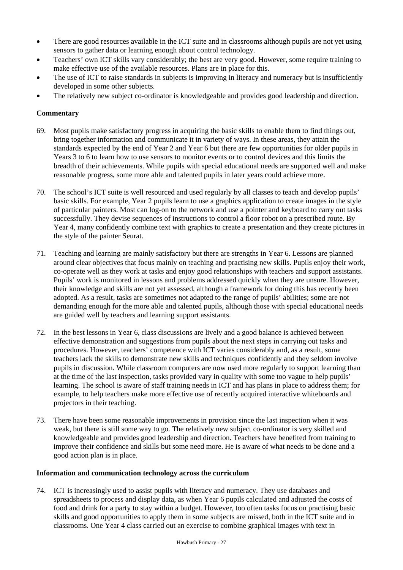- There are good resources available in the ICT suite and in classrooms although pupils are not yet using sensors to gather data or learning enough about control technology.
- Teachers' own ICT skills vary considerably; the best are very good. However, some require training to make effective use of the available resources. Plans are in place for this.
- The use of ICT to raise standards in subjects is improving in literacy and numeracy but is insufficiently developed in some other subjects.
- The relatively new subject co-ordinator is knowledgeable and provides good leadership and direction.

# **Commentary**

- 69. Most pupils make satisfactory progress in acquiring the basic skills to enable them to find things out, bring together information and communicate it in variety of ways. In these areas, they attain the standards expected by the end of Year 2 and Year 6 but there are few opportunities for older pupils in Years 3 to 6 to learn how to use sensors to monitor events or to control devices and this limits the breadth of their achievements. While pupils with special educational needs are supported well and make reasonable progress, some more able and talented pupils in later years could achieve more.
- 70. The school's ICT suite is well resourced and used regularly by all classes to teach and develop pupils' basic skills. For example, Year 2 pupils learn to use a graphics application to create images in the style of particular painters. Most can log-on to the network and use a pointer and keyboard to carry out tasks successfully. They devise sequences of instructions to control a floor robot on a prescribed route. By Year 4, many confidently combine text with graphics to create a presentation and they create pictures in the style of the painter Seurat.
- 71. Teaching and learning are mainly satisfactory but there are strengths in Year 6. Lessons are planned around clear objectives that focus mainly on teaching and practising new skills. Pupils enjoy their work, co-operate well as they work at tasks and enjoy good relationships with teachers and support assistants. Pupils' work is monitored in lessons and problems addressed quickly when they are unsure. However, their knowledge and skills are not yet assessed, although a framework for doing this has recently been adopted. As a result, tasks are sometimes not adapted to the range of pupils' abilities; some are not demanding enough for the more able and talented pupils, although those with special educational needs are guided well by teachers and learning support assistants.
- 72. In the best lessons in Year 6, class discussions are lively and a good balance is achieved between effective demonstration and suggestions from pupils about the next steps in carrying out tasks and procedures. However, teachers' competence with ICT varies considerably and, as a result, some teachers lack the skills to demonstrate new skills and techniques confidently and they seldom involve pupils in discussion. While classroom computers are now used more regularly to support learning than at the time of the last inspection, tasks provided vary in quality with some too vague to help pupils' learning. The school is aware of staff training needs in ICT and has plans in place to address them; for example, to help teachers make more effective use of recently acquired interactive whiteboards and projectors in their teaching.
- 73. There have been some reasonable improvements in provision since the last inspection when it was weak, but there is still some way to go. The relatively new subject co-ordinator is very skilled and knowledgeable and provides good leadership and direction. Teachers have benefited from training to improve their confidence and skills but some need more. He is aware of what needs to be done and a good action plan is in place.

# **Information and communication technology across the curriculum**

74. ICT is increasingly used to assist pupils with literacy and numeracy. They use databases and spreadsheets to process and display data, as when Year 6 pupils calculated and adjusted the costs of food and drink for a party to stay within a budget. However, too often tasks focus on practising basic skills and good opportunities to apply them in some subjects are missed, both in the ICT suite and in classrooms. One Year 4 class carried out an exercise to combine graphical images with text in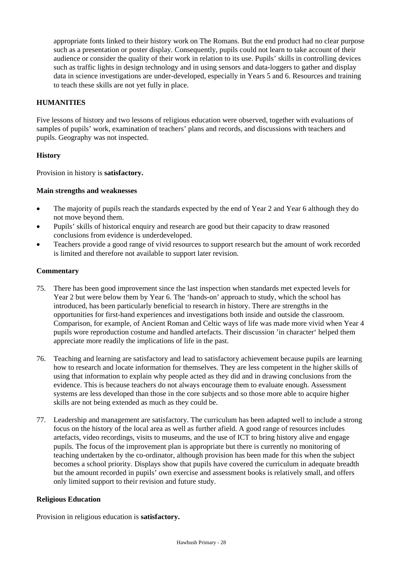appropriate fonts linked to their history work on The Romans. But the end product had no clear purpose such as a presentation or poster display. Consequently, pupils could not learn to take account of their audience or consider the quality of their work in relation to its use. Pupils' skills in controlling devices such as traffic lights in design technology and in using sensors and data-loggers to gather and display data in science investigations are under-developed, especially in Years 5 and 6. Resources and training to teach these skills are not yet fully in place.

# **HUMANITIES**

Five lessons of history and two lessons of religious education were observed, together with evaluations of samples of pupils' work, examination of teachers' plans and records, and discussions with teachers and pupils. Geography was not inspected.

## **History**

Provision in history is **satisfactory.**

## **Main strengths and weaknesses**

- The majority of pupils reach the standards expected by the end of Year 2 and Year 6 although they do not move beyond them.
- Pupils' skills of historical enquiry and research are good but their capacity to draw reasoned conclusions from evidence is underdeveloped.
- Teachers provide a good range of vivid resources to support research but the amount of work recorded is limited and therefore not available to support later revision.

## **Commentary**

- 75. There has been good improvement since the last inspection when standards met expected levels for Year 2 but were below them by Year 6. The 'hands-on' approach to study, which the school has introduced, has been particularly beneficial to research in history. There are strengths in the opportunities for first-hand experiences and investigations both inside and outside the classroom. Comparison, for example, of Ancient Roman and Celtic ways of life was made more vivid when Year 4 pupils wore reproduction costume and handled artefacts. Their discussion 'in character' helped them appreciate more readily the implications of life in the past.
- 76. Teaching and learning are satisfactory and lead to satisfactory achievement because pupils are learning how to research and locate information for themselves. They are less competent in the higher skills of using that information to explain why people acted as they did and in drawing conclusions from the evidence. This is because teachers do not always encourage them to evaluate enough. Assessment systems are less developed than those in the core subjects and so those more able to acquire higher skills are not being extended as much as they could be.
- 77. Leadership and management are satisfactory. The curriculum has been adapted well to include a strong focus on the history of the local area as well as further afield. A good range of resources includes artefacts, video recordings, visits to museums, and the use of ICT to bring history alive and engage pupils. The focus of the improvement plan is appropriate but there is currently no monitoring of teaching undertaken by the co-ordinator, although provision has been made for this when the subject becomes a school priority. Displays show that pupils have covered the curriculum in adequate breadth but the amount recorded in pupils' own exercise and assessment books is relatively small, and offers only limited support to their revision and future study.

#### **Religious Education**

Provision in religious education is **satisfactory.**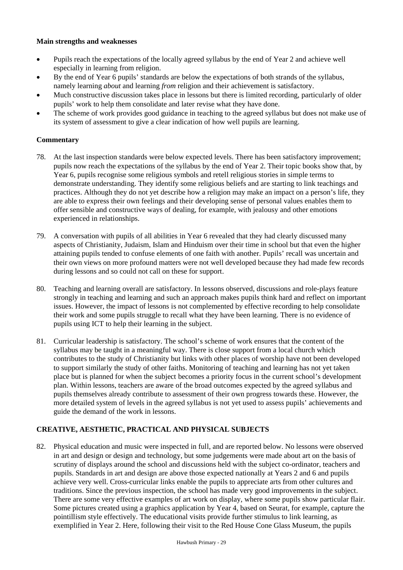## **Main strengths and weaknesses**

- Pupils reach the expectations of the locally agreed syllabus by the end of Year 2 and achieve well especially in learning from religion.
- By the end of Year 6 pupils' standards are below the expectations of both strands of the syllabus, namely learning *about* and learning *from* religion and their achievement is satisfactory.
- Much constructive discussion takes place in lessons but there is limited recording, particularly of older pupils' work to help them consolidate and later revise what they have done.
- The scheme of work provides good guidance in teaching to the agreed syllabus but does not make use of its system of assessment to give a clear indication of how well pupils are learning.

## **Commentary**

- 78. At the last inspection standards were below expected levels. There has been satisfactory improvement; pupils now reach the expectations of the syllabus by the end of Year 2. Their topic books show that, by Year 6, pupils recognise some religious symbols and retell religious stories in simple terms to demonstrate understanding. They identify some religious beliefs and are starting to link teachings and practices. Although they do not yet describe how a religion may make an impact on a person's life, they are able to express their own feelings and their developing sense of personal values enables them to offer sensible and constructive ways of dealing, for example, with jealousy and other emotions experienced in relationships.
- 79. A conversation with pupils of all abilities in Year 6 revealed that they had clearly discussed many aspects of Christianity, Judaism, Islam and Hinduism over their time in school but that even the higher attaining pupils tended to confuse elements of one faith with another. Pupils' recall was uncertain and their own views on more profound matters were not well developed because they had made few records during lessons and so could not call on these for support.
- 80. Teaching and learning overall are satisfactory. In lessons observed, discussions and role-plays feature strongly in teaching and learning and such an approach makes pupils think hard and reflect on important issues. However, the impact of lessons is not complemented by effective recording to help consolidate their work and some pupils struggle to recall what they have been learning. There is no evidence of pupils using ICT to help their learning in the subject.
- 81. Curricular leadership is satisfactory. The school's scheme of work ensures that the content of the syllabus may be taught in a meaningful way. There is close support from a local church which contributes to the study of Christianity but links with other places of worship have not been developed to support similarly the study of other faiths. Monitoring of teaching and learning has not yet taken place but is planned for when the subject becomes a priority focus in the current school's development plan. Within lessons, teachers are aware of the broad outcomes expected by the agreed syllabus and pupils themselves already contribute to assessment of their own progress towards these. However, the more detailed system of levels in the agreed syllabus is not yet used to assess pupils' achievements and guide the demand of the work in lessons.

# **CREATIVE, AESTHETIC, PRACTICAL AND PHYSICAL SUBJECTS**

82. Physical education and music were inspected in full, and are reported below. No lessons were observed in art and design or design and technology, but some judgements were made about art on the basis of scrutiny of displays around the school and discussions held with the subject co-ordinator, teachers and pupils. Standards in art and design are above those expected nationally at Years 2 and 6 and pupils achieve very well. Cross-curricular links enable the pupils to appreciate arts from other cultures and traditions. Since the previous inspection, the school has made very good improvements in the subject. There are some very effective examples of art work on display, where some pupils show particular flair. Some pictures created using a graphics application by Year 4, based on Seurat, for example, capture the pointillism style effectively. The educational visits provide further stimulus to link learning, as exemplified in Year 2. Here, following their visit to the Red House Cone Glass Museum, the pupils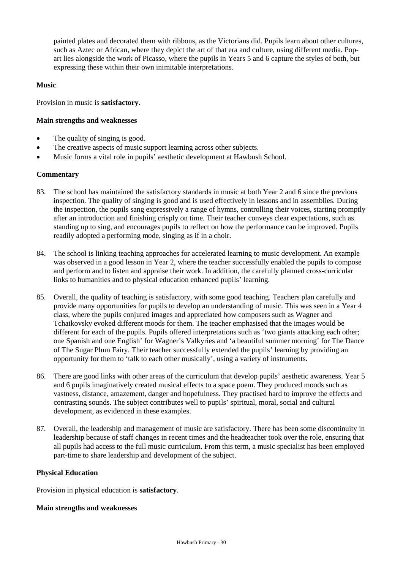painted plates and decorated them with ribbons, as the Victorians did. Pupils learn about other cultures, such as Aztec or African, where they depict the art of that era and culture, using different media. Popart lies alongside the work of Picasso, where the pupils in Years 5 and 6 capture the styles of both, but expressing these within their own inimitable interpretations.

## **Music**

Provision in music is **satisfactory**.

## **Main strengths and weaknesses**

- The quality of singing is good.
- The creative aspects of music support learning across other subjects.
- Music forms a vital role in pupils' aesthetic development at Hawbush School.

## **Commentary**

- 83. The school has maintained the satisfactory standards in music at both Year 2 and 6 since the previous inspection. The quality of singing is good and is used effectively in lessons and in assemblies. During the inspection, the pupils sang expressively a range of hymns, controlling their voices, starting promptly after an introduction and finishing crisply on time. Their teacher conveys clear expectations, such as standing up to sing, and encourages pupils to reflect on how the performance can be improved. Pupils readily adopted a performing mode, singing as if in a choir.
- 84. The school is linking teaching approaches for accelerated learning to music development. An example was observed in a good lesson in Year 2, where the teacher successfully enabled the pupils to compose and perform and to listen and appraise their work. In addition, the carefully planned cross-curricular links to humanities and to physical education enhanced pupils' learning.
- 85. Overall, the quality of teaching is satisfactory, with some good teaching. Teachers plan carefully and provide many opportunities for pupils to develop an understanding of music. This was seen in a Year 4 class, where the pupils conjured images and appreciated how composers such as Wagner and Tchaikovsky evoked different moods for them. The teacher emphasised that the images would be different for each of the pupils. Pupils offered interpretations such as 'two giants attacking each other; one Spanish and one English' for Wagner's Valkyries and 'a beautiful summer morning' for The Dance of The Sugar Plum Fairy. Their teacher successfully extended the pupils' learning by providing an opportunity for them to 'talk to each other musically', using a variety of instruments.
- 86. There are good links with other areas of the curriculum that develop pupils' aesthetic awareness. Year 5 and 6 pupils imaginatively created musical effects to a space poem. They produced moods such as vastness, distance, amazement, danger and hopefulness. They practised hard to improve the effects and contrasting sounds. The subject contributes well to pupils' spiritual, moral, social and cultural development, as evidenced in these examples.
- 87. Overall, the leadership and management of music are satisfactory. There has been some discontinuity in leadership because of staff changes in recent times and the headteacher took over the role, ensuring that all pupils had access to the full music curriculum. From this term, a music specialist has been employed part-time to share leadership and development of the subject.

#### **Physical Education**

Provision in physical education is **satisfactory**.

#### **Main strengths and weaknesses**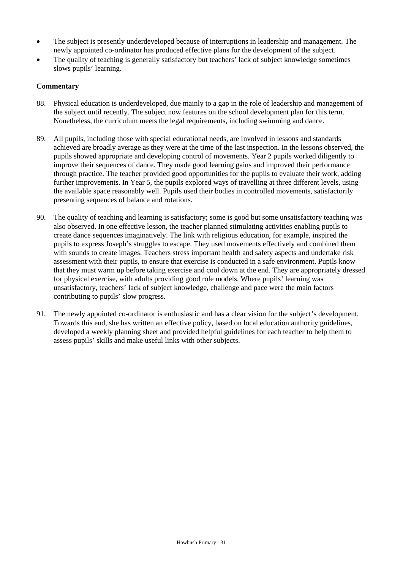- The subject is presently underdeveloped because of interruptions in leadership and management. The newly appointed co-ordinator has produced effective plans for the development of the subject.
- The quality of teaching is generally satisfactory but teachers' lack of subject knowledge sometimes slows pupils' learning.

- 88. Physical education is underdeveloped, due mainly to a gap in the role of leadership and management of the subject until recently. The subject now features on the school development plan for this term. Nonetheless, the curriculum meets the legal requirements, including swimming and dance.
- 89. All pupils, including those with special educational needs, are involved in lessons and standards achieved are broadly average as they were at the time of the last inspection. In the lessons observed, the pupils showed appropriate and developing control of movements. Year 2 pupils worked diligently to improve their sequences of dance. They made good learning gains and improved their performance through practice. The teacher provided good opportunities for the pupils to evaluate their work, adding further improvements. In Year 5, the pupils explored ways of travelling at three different levels, using the available space reasonably well. Pupils used their bodies in controlled movements, satisfactorily presenting sequences of balance and rotations.
- 90. The quality of teaching and learning is satisfactory; some is good but some unsatisfactory teaching was also observed. In one effective lesson, the teacher planned stimulating activities enabling pupils to create dance sequences imaginatively. The link with religious education, for example, inspired the pupils to express Joseph's struggles to escape. They used movements effectively and combined them with sounds to create images. Teachers stress important health and safety aspects and undertake risk assessment with their pupils, to ensure that exercise is conducted in a safe environment. Pupils know that they must warm up before taking exercise and cool down at the end. They are appropriately dressed for physical exercise, with adults providing good role models. Where pupils' learning was unsatisfactory, teachers' lack of subject knowledge, challenge and pace were the main factors contributing to pupils' slow progress.
- 91. The newly appointed co-ordinator is enthusiastic and has a clear vision for the subject's development. Towards this end, she has written an effective policy, based on local education authority guidelines, developed a weekly planning sheet and provided helpful guidelines for each teacher to help them to assess pupils' skills and make useful links with other subjects.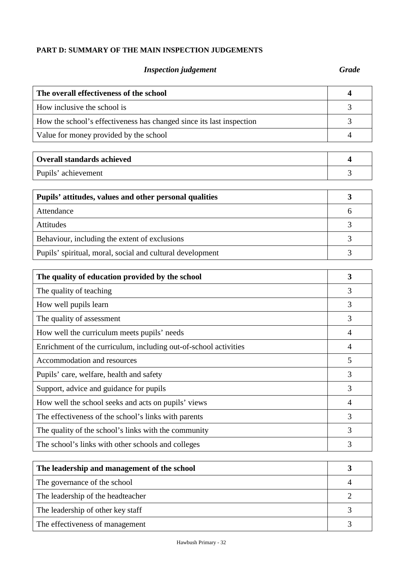# **PART D: SUMMARY OF THE MAIN INSPECTION JUDGEMENTS**

# *Inspection judgement Grade*

| The overall effectiveness of the school                              |  |
|----------------------------------------------------------------------|--|
| How inclusive the school is                                          |  |
| How the school's effectiveness has changed since its last inspection |  |
| Value for money provided by the school                               |  |

| <b>Overall standards achieved</b> |  |
|-----------------------------------|--|
| Pupils' achievement               |  |

| Pupils' attitudes, values and other personal qualities    |  |
|-----------------------------------------------------------|--|
| Attendance                                                |  |
| <b>Attitudes</b>                                          |  |
| Behaviour, including the extent of exclusions             |  |
| Pupils' spiritual, moral, social and cultural development |  |

| The quality of education provided by the school                  | 3              |
|------------------------------------------------------------------|----------------|
| The quality of teaching                                          | 3              |
| How well pupils learn                                            | 3              |
| The quality of assessment                                        | 3              |
| How well the curriculum meets pupils' needs                      | $\overline{4}$ |
| Enrichment of the curriculum, including out-of-school activities | 4              |
| Accommodation and resources                                      | 5              |
| Pupils' care, welfare, health and safety                         | 3              |
| Support, advice and guidance for pupils                          | 3              |
| How well the school seeks and acts on pupils' views              | $\overline{4}$ |
| The effectiveness of the school's links with parents             | 3              |
| The quality of the school's links with the community             | 3              |
| The school's links with other schools and colleges               | 3              |

| The leadership and management of the school |  |
|---------------------------------------------|--|
| The governance of the school                |  |
| The leadership of the headteacher           |  |
| The leadership of other key staff           |  |
| The effectiveness of management             |  |